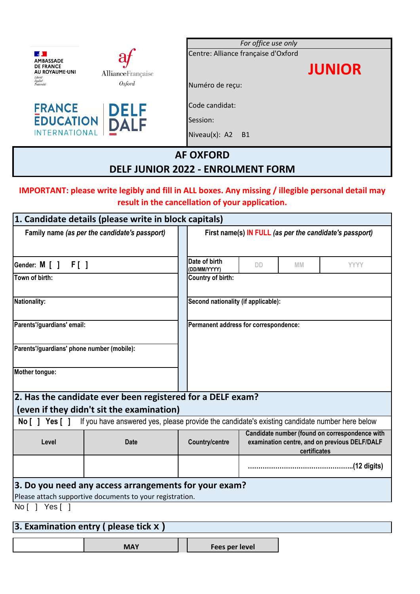|                                                                                         |                   | For office use only                 |  |  |
|-----------------------------------------------------------------------------------------|-------------------|-------------------------------------|--|--|
| $\bf{a}$                                                                                |                   | Centre: Alliance française d'Oxford |  |  |
| <b>AMBASSADE</b><br><b>DE FRANCE</b><br>AU ROYAUME-UNI<br>Liberté                       | AllianceFrançaise | <b>JUNIOR</b>                       |  |  |
| Égalité<br>Fraternité<br>Oxford                                                         |                   | Numéro de reçu:                     |  |  |
| <b>FRANCE</b><br><b>DELF</b><br><b>EDUCATION</b><br><b>DALF</b><br><b>INTERNATIONAL</b> |                   | Code candidat:                      |  |  |
|                                                                                         |                   | Session:                            |  |  |
|                                                                                         |                   | Niveau $(x)$ : A2 B1                |  |  |
| <b>AF OXFORD</b>                                                                        |                   |                                     |  |  |
| <b>DELF JUNIOR 2022 - ENROLMENT FORM</b>                                                |                   |                                     |  |  |

### **IMPORTANT: please write legibly and fill in ALL boxes. Any missing / illegible personal detail may result in the cancellation of your application.**

| 1. Candidate details (please write in block capitals) |                                                                                               |                                                         |                                     |              |                                                                                                 |  |  |
|-------------------------------------------------------|-----------------------------------------------------------------------------------------------|---------------------------------------------------------|-------------------------------------|--------------|-------------------------------------------------------------------------------------------------|--|--|
| Family name (as per the candidate's passport)         |                                                                                               | First name(s) IN FULL (as per the candidate's passport) |                                     |              |                                                                                                 |  |  |
| Sender: M [ ] F [ ]                                   |                                                                                               | Date of birth<br>(DD/MM/YYYY)                           | <b>DD</b>                           | <b>MM</b>    | <b>YYYY</b>                                                                                     |  |  |
| Town of birth:                                        |                                                                                               | Country of birth:                                       |                                     |              |                                                                                                 |  |  |
| Nationality:                                          |                                                                                               |                                                         | Second nationality (if applicable): |              |                                                                                                 |  |  |
| Parents'/guardians' email:                            |                                                                                               | Permanent address for correspondence:                   |                                     |              |                                                                                                 |  |  |
| Parents'/guardians' phone number (mobile):            |                                                                                               |                                                         |                                     |              |                                                                                                 |  |  |
| Mother tongue:                                        |                                                                                               |                                                         |                                     |              |                                                                                                 |  |  |
|                                                       | 2. Has the candidate ever been registered for a DELF exam?                                    |                                                         |                                     |              |                                                                                                 |  |  |
|                                                       | (even if they didn't sit the examination)                                                     |                                                         |                                     |              |                                                                                                 |  |  |
| No [ ] Yes [ ]                                        | If you have answered yes, please provide the candidate's existing candidate number here below |                                                         |                                     |              |                                                                                                 |  |  |
| Level                                                 | <b>Date</b>                                                                                   | <b>Country/centre</b>                                   |                                     | certificates | Candidate number (found on correspondence with<br>examination centre, and on previous DELF/DALF |  |  |
|                                                       |                                                                                               |                                                         |                                     |              | (12 digits)                                                                                     |  |  |
|                                                       | 3. Do you need any access arrangements for your exam?                                         |                                                         |                                     |              |                                                                                                 |  |  |
| No [ ] Yes [ ]                                        | Please attach supportive documents to your registration.                                      |                                                         |                                     |              |                                                                                                 |  |  |
|                                                       |                                                                                               |                                                         |                                     |              |                                                                                                 |  |  |

# **3. Examination entry ( please tick x )**

|--|